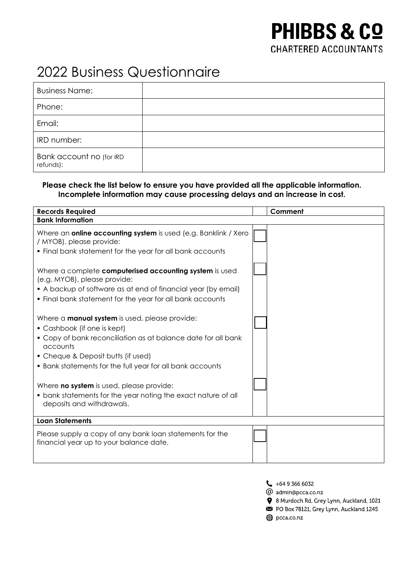## **PHIBBS & CO CHARTERED ACCOUNTANTS**

## 2022 Business Questionnaire

| <b>Business Name:</b>                 |  |
|---------------------------------------|--|
| Phone:                                |  |
| Email:                                |  |
| IRD number:                           |  |
| Bank account no (for IRD<br>refunds): |  |

## **Please check the list below to ensure you have provided all the applicable information. Incomplete information may cause processing delays and an increase in cost.**

| <b>Records Required</b>                                                                                                                                                                                                                                              |  | Comment |
|----------------------------------------------------------------------------------------------------------------------------------------------------------------------------------------------------------------------------------------------------------------------|--|---------|
| <b>Bank Information</b>                                                                                                                                                                                                                                              |  |         |
| Where an <b>online accounting system</b> is used (e.g. Banklink / Xero<br>/ MYOB), please provide:<br>. Final bank statement for the year for all bank accounts                                                                                                      |  |         |
| Where a complete computerised accounting system is used<br>(e.g. MYOB), please provide:<br>• A backup of software as at end of financial year (by email)<br>. Final bank statement for the year for all bank accounts                                                |  |         |
| Where a <b>manual system</b> is used, please provide:<br>• Cashbook (if one is kept)<br>• Copy of bank reconciliation as at balance date for all bank<br>accounts<br>• Cheque & Deposit butts (if used)<br>• Bank statements for the full year for all bank accounts |  |         |
| Where <b>no system</b> is used, please provide:<br>• bank statements for the year noting the exact nature of all<br>deposits and withdrawals.                                                                                                                        |  |         |
| <b>Loan Statements</b>                                                                                                                                                                                                                                               |  |         |
| Please supply a copy of any bank loan statements for the<br>financial year up to your balance date.                                                                                                                                                                  |  |         |

- $\begin{array}{cc} \end{array}$  +64 9 366 6032
- @ admin@pcca.co.nz
- 8 Murdoch Rd, Grey Lynn, Auckland, 1021
- PO Box 78121, Grey Lynn, Auckland 1245
- pcca.co.nz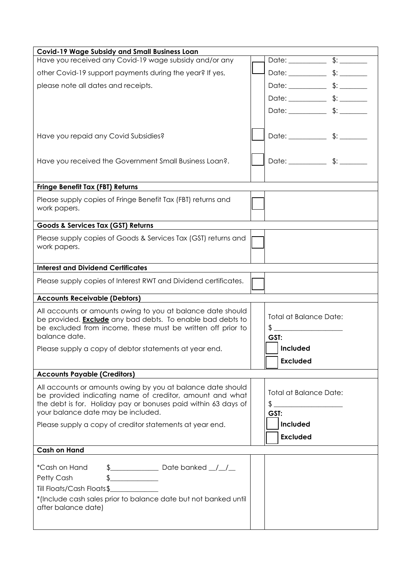| <b>Covid-19 Wage Subsidy and Small Business Loan</b>                                                                             |                                                                                                                                                                                                                                                                                                                                                                                                                                                                                                                       |
|----------------------------------------------------------------------------------------------------------------------------------|-----------------------------------------------------------------------------------------------------------------------------------------------------------------------------------------------------------------------------------------------------------------------------------------------------------------------------------------------------------------------------------------------------------------------------------------------------------------------------------------------------------------------|
| Have you received any Covid-19 wage subsidy and/or any                                                                           |                                                                                                                                                                                                                                                                                                                                                                                                                                                                                                                       |
| other Covid-19 support payments during the year? If yes,                                                                         |                                                                                                                                                                                                                                                                                                                                                                                                                                                                                                                       |
| please note all dates and receipts.                                                                                              |                                                                                                                                                                                                                                                                                                                                                                                                                                                                                                                       |
|                                                                                                                                  |                                                                                                                                                                                                                                                                                                                                                                                                                                                                                                                       |
|                                                                                                                                  |                                                                                                                                                                                                                                                                                                                                                                                                                                                                                                                       |
|                                                                                                                                  |                                                                                                                                                                                                                                                                                                                                                                                                                                                                                                                       |
| Have you repaid any Covid Subsidies?                                                                                             |                                                                                                                                                                                                                                                                                                                                                                                                                                                                                                                       |
|                                                                                                                                  |                                                                                                                                                                                                                                                                                                                                                                                                                                                                                                                       |
| Have you received the Government Small Business Loan?.                                                                           |                                                                                                                                                                                                                                                                                                                                                                                                                                                                                                                       |
|                                                                                                                                  |                                                                                                                                                                                                                                                                                                                                                                                                                                                                                                                       |
| <b>Fringe Benefit Tax (FBT) Returns</b>                                                                                          |                                                                                                                                                                                                                                                                                                                                                                                                                                                                                                                       |
| Please supply copies of Fringe Benefit Tax (FBT) returns and                                                                     |                                                                                                                                                                                                                                                                                                                                                                                                                                                                                                                       |
| work papers.                                                                                                                     |                                                                                                                                                                                                                                                                                                                                                                                                                                                                                                                       |
| Goods & Services Tax (GST) Returns                                                                                               |                                                                                                                                                                                                                                                                                                                                                                                                                                                                                                                       |
| Please supply copies of Goods & Services Tax (GST) returns and                                                                   |                                                                                                                                                                                                                                                                                                                                                                                                                                                                                                                       |
| work papers.                                                                                                                     |                                                                                                                                                                                                                                                                                                                                                                                                                                                                                                                       |
| <b>Interest and Dividend Certificates</b>                                                                                        |                                                                                                                                                                                                                                                                                                                                                                                                                                                                                                                       |
|                                                                                                                                  |                                                                                                                                                                                                                                                                                                                                                                                                                                                                                                                       |
| Please supply copies of Interest RWT and Dividend certificates.                                                                  |                                                                                                                                                                                                                                                                                                                                                                                                                                                                                                                       |
| <b>Accounts Receivable (Debtors)</b>                                                                                             |                                                                                                                                                                                                                                                                                                                                                                                                                                                                                                                       |
| All accounts or amounts owing to you at balance date should                                                                      | <b>Total at Balance Date:</b>                                                                                                                                                                                                                                                                                                                                                                                                                                                                                         |
| be provided. <b>Exclude</b> any bad debts. To enable bad debts to<br>be excluded from income, these must be written off prior to | $\frac{1}{2}$                                                                                                                                                                                                                                                                                                                                                                                                                                                                                                         |
| balance date.                                                                                                                    | GST:                                                                                                                                                                                                                                                                                                                                                                                                                                                                                                                  |
| Please supply a copy of debtor statements at year end.                                                                           | Included                                                                                                                                                                                                                                                                                                                                                                                                                                                                                                              |
|                                                                                                                                  | <b>Excluded</b>                                                                                                                                                                                                                                                                                                                                                                                                                                                                                                       |
| <b>Accounts Payable (Creditors)</b>                                                                                              |                                                                                                                                                                                                                                                                                                                                                                                                                                                                                                                       |
| All accounts or amounts owing by you at balance date should                                                                      | <b>Total at Balance Date:</b>                                                                                                                                                                                                                                                                                                                                                                                                                                                                                         |
| be provided indicating name of creditor, amount and what<br>the debt is for. Holiday pay or bonuses paid within 63 days of       | $\big\{\begin{tabular}{c} \multicolumn{3}{c} {\textbf{\small .}} \end{tabular} \hspace{10pt} \begin{tabular}{c} \multicolumn{3}{c} {\textbf{\small .}} \end{tabular} \hspace{10pt} \begin{tabular}{c} \multicolumn{3}{c} {\textbf{\small .}} \end{tabular} \hspace{10pt} \begin{tabular}{c} \multicolumn{3}{c} {\textbf{\small .}} \end{tabular} \hspace{10pt} \begin{tabular}{c} \multicolumn{3}{c} {\textbf{\small .}} \end{tabular} \hspace{10pt} \begin{tabular}{c} \multicolumn{3}{c} {\textbf{\small .}} \end{$ |
| your balance date may be included.                                                                                               | GST:                                                                                                                                                                                                                                                                                                                                                                                                                                                                                                                  |
| Please supply a copy of creditor statements at year end.                                                                         | Included                                                                                                                                                                                                                                                                                                                                                                                                                                                                                                              |
|                                                                                                                                  | <b>Excluded</b>                                                                                                                                                                                                                                                                                                                                                                                                                                                                                                       |
| <b>Cash on Hand</b>                                                                                                              |                                                                                                                                                                                                                                                                                                                                                                                                                                                                                                                       |
| *Cash on Hand                                                                                                                    |                                                                                                                                                                                                                                                                                                                                                                                                                                                                                                                       |
|                                                                                                                                  |                                                                                                                                                                                                                                                                                                                                                                                                                                                                                                                       |
| $\frac{1}{2}$                                                                                                                    |                                                                                                                                                                                                                                                                                                                                                                                                                                                                                                                       |
| Petty Cash<br>Till Floats/Cash Floats\$                                                                                          |                                                                                                                                                                                                                                                                                                                                                                                                                                                                                                                       |
| *(Include cash sales prior to balance date but not banked until                                                                  |                                                                                                                                                                                                                                                                                                                                                                                                                                                                                                                       |
| after balance date)                                                                                                              |                                                                                                                                                                                                                                                                                                                                                                                                                                                                                                                       |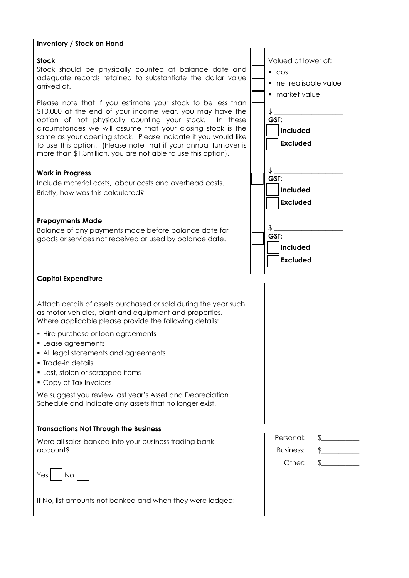| <b>Inventory / Stock on Hand</b>                                                                                                                                                                                                                                                                                                                                                                                                                                                                                                                                                                                  |                                                                                                                                             |  |  |
|-------------------------------------------------------------------------------------------------------------------------------------------------------------------------------------------------------------------------------------------------------------------------------------------------------------------------------------------------------------------------------------------------------------------------------------------------------------------------------------------------------------------------------------------------------------------------------------------------------------------|---------------------------------------------------------------------------------------------------------------------------------------------|--|--|
| <b>Stock</b><br>Stock should be physically counted at balance date and<br>adequate records retained to substantiate the dollar value<br>arrived at.<br>Please note that if you estimate your stock to be less than<br>\$10,000 at the end of your income year, you may have the<br>option of not physically counting your stock.<br>In these<br>circumstances we will assume that your closing stock is the<br>same as your opening stock. Please indicate if you would like<br>to use this option. (Please note that if your annual turnover is<br>more than \$1.3million, you are not able to use this option). | Valued at lower of:<br>$\overline{\phantom{a}}$ cost<br>• net realisable value<br>market value<br>\$<br>GST:<br>Included<br><b>Excluded</b> |  |  |
| <b>Work in Progress</b><br>Include material costs, labour costs and overhead costs.<br>Briefly, how was this calculated?                                                                                                                                                                                                                                                                                                                                                                                                                                                                                          | \$<br>GST:<br>Included<br><b>Excluded</b>                                                                                                   |  |  |
| <b>Prepayments Made</b><br>Balance of any payments made before balance date for<br>goods or services not received or used by balance date.                                                                                                                                                                                                                                                                                                                                                                                                                                                                        | \$<br>GST:<br>Included<br><b>Excluded</b>                                                                                                   |  |  |
| <b>Capital Expenditure</b>                                                                                                                                                                                                                                                                                                                                                                                                                                                                                                                                                                                        |                                                                                                                                             |  |  |
| Attach details of assets purchased or sold during the year such<br>as motor vehicles, plant and equipment and properties.<br>Where applicable please provide the following details:<br>• Hire purchase or loan agreements<br>• Lease agreements<br>• All legal statements and agreements<br>• Trade-in details<br>• Lost, stolen or scrapped items<br>• Copy of Tax Invoices<br>We suggest you review last year's Asset and Depreciation<br>Schedule and indicate any assets that no longer exist.                                                                                                                |                                                                                                                                             |  |  |
| <b>Transactions Not Through the Business</b>                                                                                                                                                                                                                                                                                                                                                                                                                                                                                                                                                                      |                                                                                                                                             |  |  |
| Were all sales banked into your business trading bank<br>account?<br>No <sub>1</sub><br>Yes                                                                                                                                                                                                                                                                                                                                                                                                                                                                                                                       | Personal:<br>\$<br><b>Business:</b><br>Other:                                                                                               |  |  |
| If No, list amounts not banked and when they were lodged:                                                                                                                                                                                                                                                                                                                                                                                                                                                                                                                                                         |                                                                                                                                             |  |  |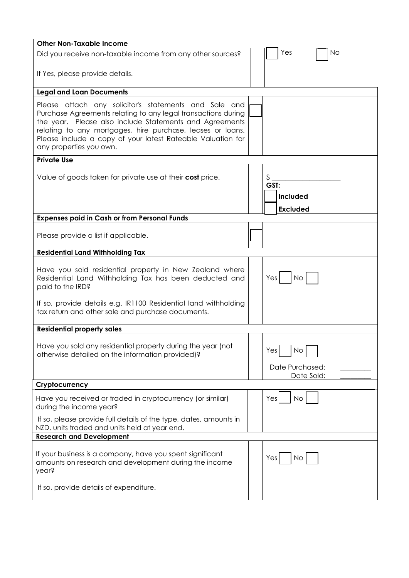| <b>Other Non-Taxable Income</b>                                                                                                                                                                                                                                                                                                           |                                            |  |
|-------------------------------------------------------------------------------------------------------------------------------------------------------------------------------------------------------------------------------------------------------------------------------------------------------------------------------------------|--------------------------------------------|--|
| Did you receive non-taxable income from any other sources?                                                                                                                                                                                                                                                                                | Yes<br>No                                  |  |
| If Yes, please provide details.                                                                                                                                                                                                                                                                                                           |                                            |  |
| <b>Legal and Loan Documents</b>                                                                                                                                                                                                                                                                                                           |                                            |  |
| Please attach any solicitor's statements and Sale and<br>Purchase Agreements relating to any legal transactions during<br>the year. Please also include Statements and Agreements<br>relating to any mortgages, hire purchase, leases or loans.<br>Please include a copy of your latest Rateable Valuation for<br>any properties you own. |                                            |  |
| <b>Private Use</b>                                                                                                                                                                                                                                                                                                                        |                                            |  |
| Value of goods taken for private use at their cost price.                                                                                                                                                                                                                                                                                 | \$<br>GST:<br>Included<br><b>Excluded</b>  |  |
| <b>Expenses paid in Cash or from Personal Funds</b>                                                                                                                                                                                                                                                                                       |                                            |  |
| Please provide a list if applicable.                                                                                                                                                                                                                                                                                                      |                                            |  |
| <b>Residential Land Withholding Tax</b>                                                                                                                                                                                                                                                                                                   |                                            |  |
| Have you sold residential property in New Zealand where<br>Residential Land Withholding Tax has been deducted and<br>paid to the IRD?                                                                                                                                                                                                     | Yesl<br>No <sub>1</sub>                    |  |
| If so, provide details e.g. IR1100 Residential land withholding<br>tax return and other sale and purchase documents.                                                                                                                                                                                                                      |                                            |  |
| <b>Residential property sales</b>                                                                                                                                                                                                                                                                                                         |                                            |  |
| Have you sold any residential property during the year (not<br>otherwise detailed on the information provided)?                                                                                                                                                                                                                           | No<br>Yes<br>Date Purchased:<br>Date Sold: |  |
| Cryptocurrency                                                                                                                                                                                                                                                                                                                            |                                            |  |
| Have you received or traded in cryptocurrency (or similar)<br>during the income year?                                                                                                                                                                                                                                                     | Yes<br><b>No</b>                           |  |
| If so, please provide full details of the type, dates, amounts in<br>NZD, units traded and units held at year end.                                                                                                                                                                                                                        |                                            |  |
| <b>Research and Development</b>                                                                                                                                                                                                                                                                                                           |                                            |  |
| If your business is a company, have you spent significant<br>amounts on research and development during the income<br>year?                                                                                                                                                                                                               | Yes<br>No                                  |  |
| If so, provide details of expenditure.                                                                                                                                                                                                                                                                                                    |                                            |  |